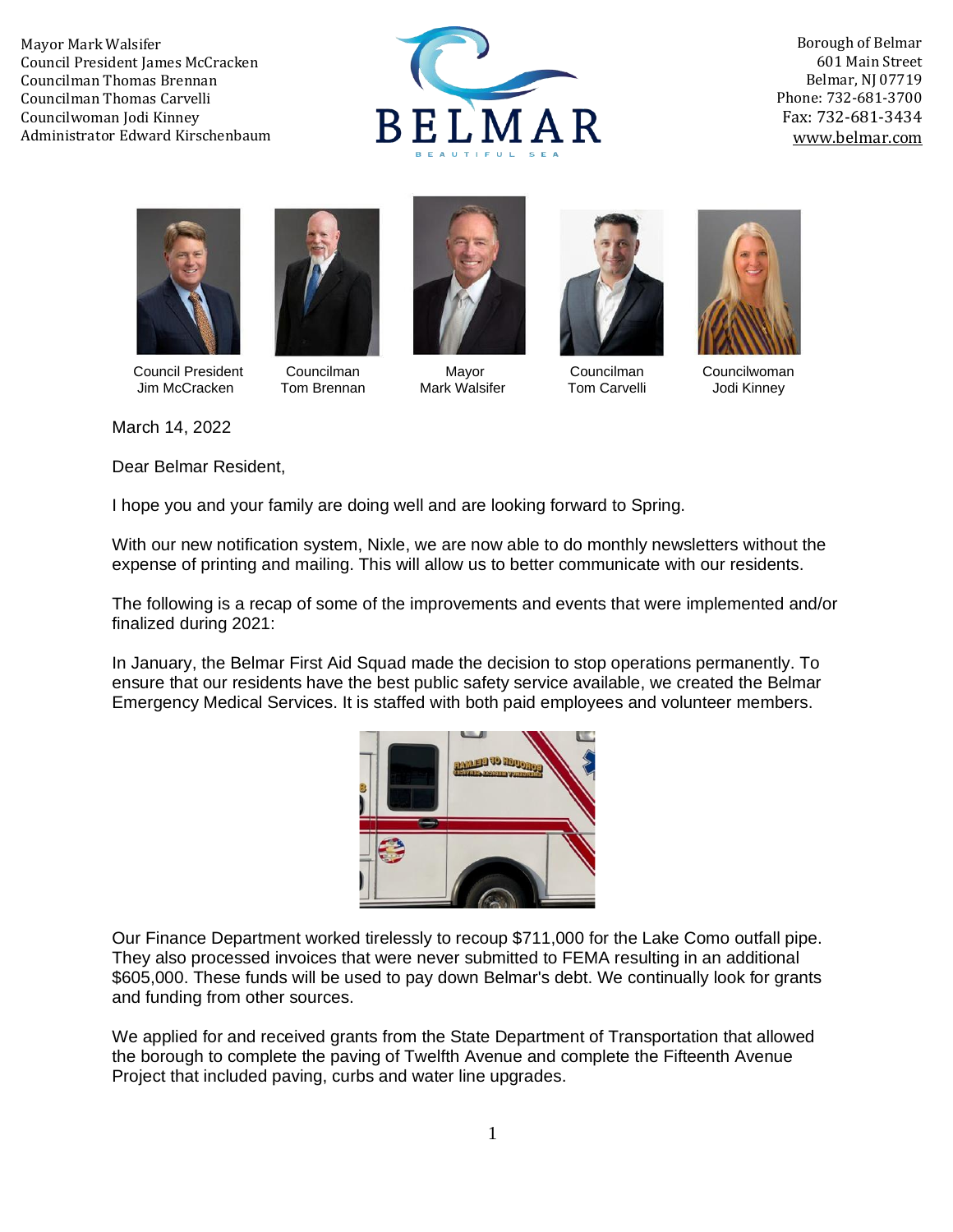

Borough of Belmar 601 Main Street Belmar, NJ 07719 Phone: 732-681-3700 Fax: 732-681-3434 [www.belmar.com](http://www.belmar.com/)





Council President Councilman Mayor Councilman Councilwoman<br>
Um McCracken Tom Brennan Mark Walsifer Tom Carvelli Jodi Kinney Jim McCracken Tom Brennan Mark Walsifer Tom Carvelli Jodi Kinney







March 14, 2022

Dear Belmar Resident,

I hope you and your family are doing well and are looking forward to Spring.

With our new notification system, Nixle, we are now able to do monthly newsletters without the expense of printing and mailing. This will allow us to better communicate with our residents.

The following is a recap of some of the improvements and events that were implemented and/or finalized during 2021:

In January, the Belmar First Aid Squad made the decision to stop operations permanently. To ensure that our residents have the best public safety service available, we created the Belmar Emergency Medical Services. It is staffed with both paid employees and volunteer members.



Our Finance Department worked tirelessly to recoup \$711,000 for the Lake Como outfall pipe. They also processed invoices that were never submitted to FEMA resulting in an additional \$605,000. These funds will be used to pay down Belmar's debt. We continually look for grants and funding from other sources.

We applied for and received grants from the State Department of Transportation that allowed the borough to complete the paving of Twelfth Avenue and complete the Fifteenth Avenue Project that included paving, curbs and water line upgrades.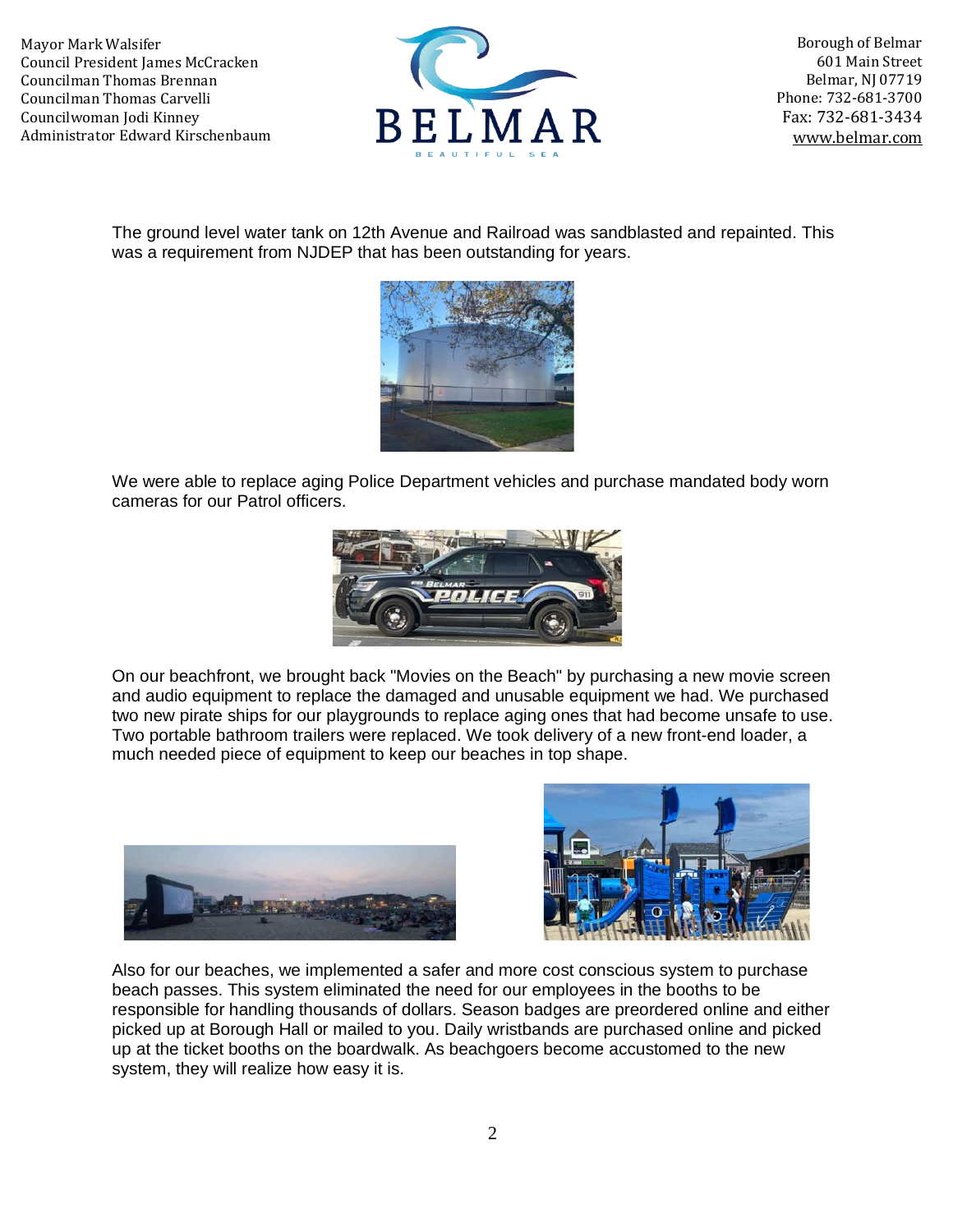

Borough of Belmar 601 Main Street Belmar, NJ 07719 Phone: 732-681-3700 Fax: 732-681-3434 [www.belmar.com](http://www.belmar.com/)

The ground level water tank on 12th Avenue and Railroad was sandblasted and repainted. This was a requirement from NJDEP that has been outstanding for years.



We were able to replace aging Police Department vehicles and purchase mandated body worn cameras for our Patrol officers.



On our beachfront, we brought back "Movies on the Beach" by purchasing a new movie screen and audio equipment to replace the damaged and unusable equipment we had. We purchased two new pirate ships for our playgrounds to replace aging ones that had become unsafe to use. Two portable bathroom trailers were replaced. We took delivery of a new front-end loader, a much needed piece of equipment to keep our beaches in top shape.





Also for our beaches, we implemented a safer and more cost conscious system to purchase beach passes. This system eliminated the need for our employees in the booths to be responsible for handling thousands of dollars. Season badges are preordered online and either picked up at Borough Hall or mailed to you. Daily wristbands are purchased online and picked up at the ticket booths on the boardwalk. As beachgoers become accustomed to the new system, they will realize how easy it is.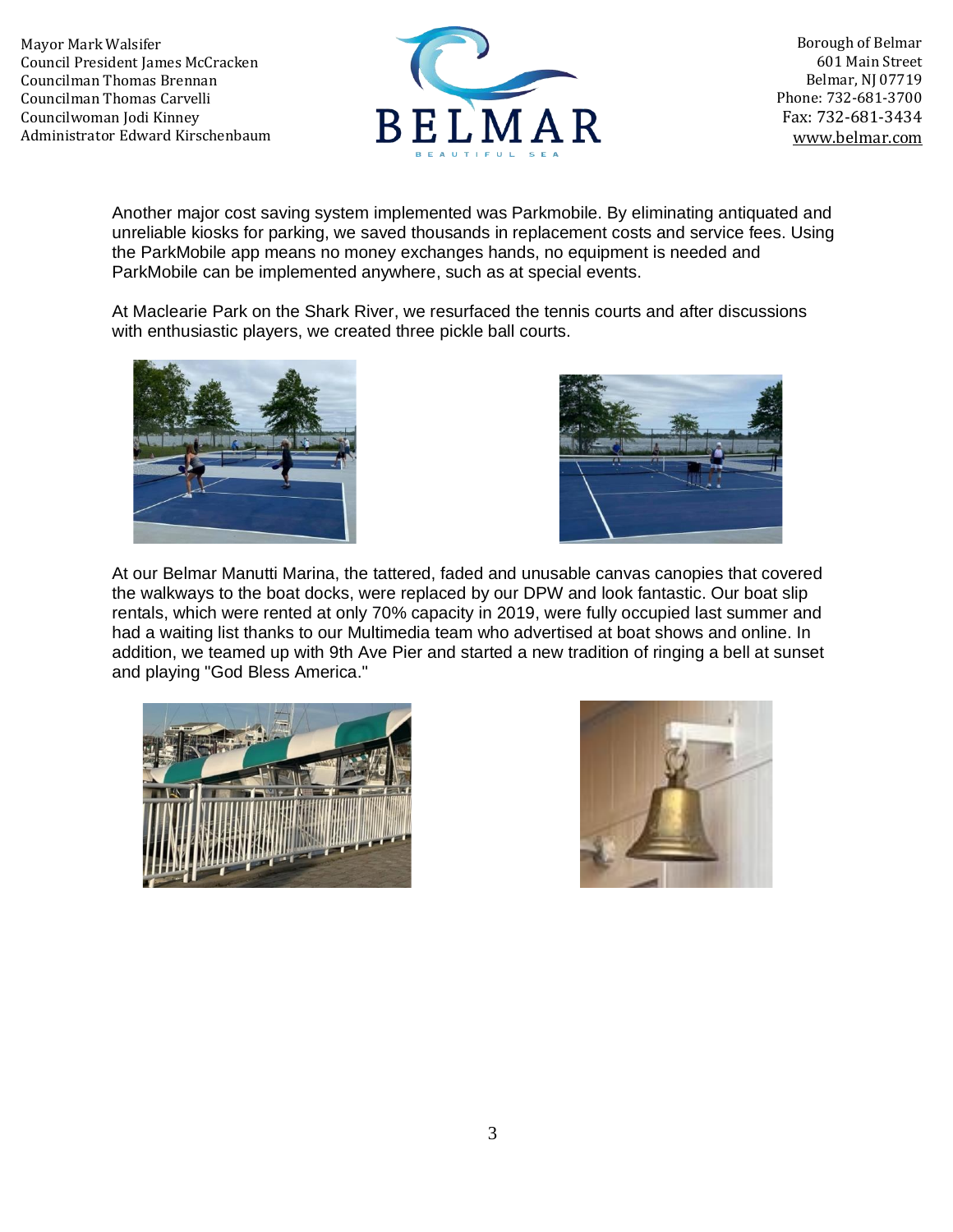

Borough of Belmar 601 Main Street Belmar, NJ 07719 Phone: 732-681-3700 Fax: 732-681-3434 [www.belmar.com](http://www.belmar.com/)

Another major cost saving system implemented was Parkmobile. By eliminating antiquated and unreliable kiosks for parking, we saved thousands in replacement costs and service fees. Using the ParkMobile app means no money exchanges hands, no equipment is needed and ParkMobile can be implemented anywhere, such as at special events.

At Maclearie Park on the Shark River, we resurfaced the tennis courts and after discussions with enthusiastic players, we created three pickle ball courts.





At our Belmar Manutti Marina, the tattered, faded and unusable canvas canopies that covered the walkways to the boat docks, were replaced by our DPW and look fantastic. Our boat slip rentals, which were rented at only 70% capacity in 2019, were fully occupied last summer and had a waiting list thanks to our Multimedia team who advertised at boat shows and online. In addition, we teamed up with 9th Ave Pier and started a new tradition of ringing a bell at sunset and playing "God Bless America."